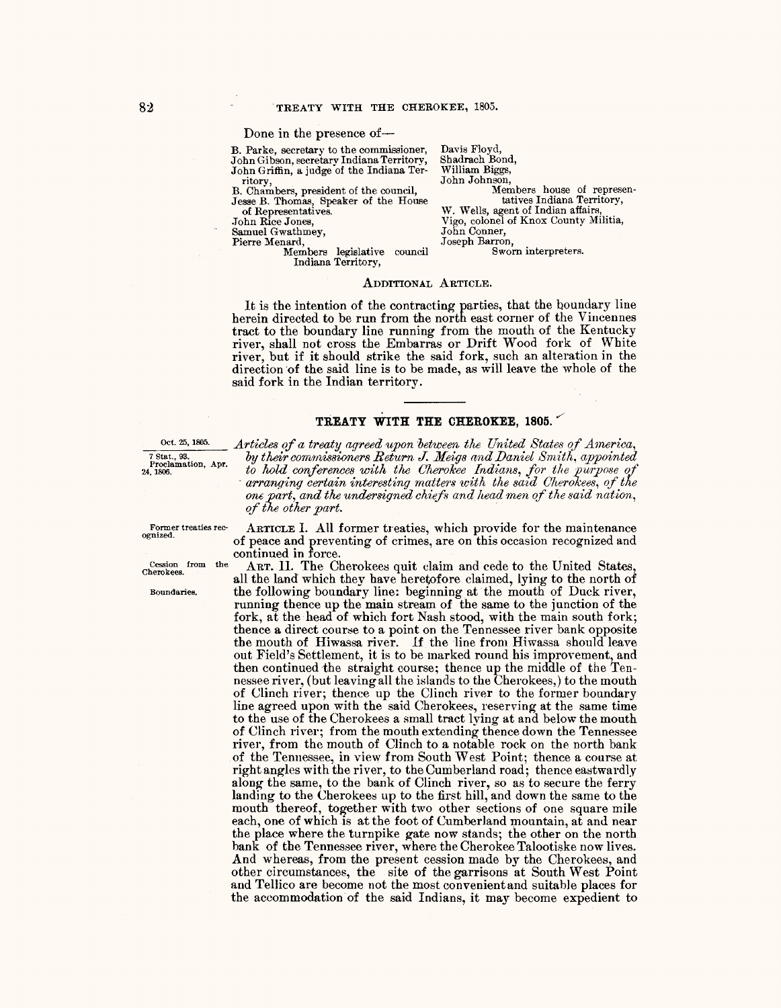Done in the presence of-

B. Parke, secretary to the commissioner, John Gibson, secretary Indiana Territory, John Griffin, a judge of the Indiana Territory,

B. Chambers, president of the council, Jesse B. Thomas, Speaker of the House of Representatives.

.Tohn Rice Jones,

Samuel Gwathmey,

Pierre Menard,

Members legislative council Indiana Territory,

Davis Floyd, Shadrach Bond, William Biggs,<br>John Johnson, Members house of representatives Indiana Territory, W. Wells, agent of Indian affairs, Vigo, colonel of Knox County Militia, John Conner, .Joseph Barron, Sworn interpreters.

ADDITIONAL ARTICLE.

It is the intention *of* the contracting parties, that the boundary line herein directed to be run from the north east corner of the Vincennes tract to the boundary line running from the mouth of the Kentucky river, shall not cross the Embarras or Drift Wood fork of White river, but if it should strike the said fork, such an alteration in the direction of the said line is to be made, as will leave the whole of the said fork in the Indian territory.

## **TREATY WITH THE CHEROKEE, 1805.**

<sup>Oct. 25, 1805.</sup> Articles of a treaty agreed upon between the United States of America,<br>
<sup>7</sup> Stat., <sup>33</sup>. by their commissioners Return J. Meigs and Daniel Smith, appointed<br>
<sup>7</sup> Statements have been the approached the of t by their commissioners Return J. Meigs and Daniel Smith, appointed to hold conferences with the Cherokee Indians, for the purpose of <sup>24, 1806</sup>. *to hold conferences with the Cherokee lndians, for the purpose of*<br>arranging certain interesting matters with the said Cherokees, of the one part, and the undersigned chiefs and head men of the said nation, *of the other part.* ·

Former treaties rec-<br>ognized.

Boundaries.

ARTICLE I. All former treaties, which provide for the maintenance *of* peace and preventing of crimes, are on this occasion recognized and continued in force.

Cession from the ART. II. The Cherokees quit claim and cede to the United States, all the land which they have heretofore claimed, lying to the north of the following boundary line: beginning at the mouth of Duck river, running thence up the main stream of the same to the junction of the fork, at the head *of* which fort Nash stood, with the main south fork; thence a direct course to a point on the Tennessee river bank opposite the mouth of Hiwassa river. If the line from Hiwassa should leave out Field's Settlement, it is to be marked round his improvement, and then continued the straight course; thence up the middle of the Tennessee river, (but leaving all the islands to the Cherokees,) to the mouth of Clinch river; thence up the Clinch river to the former boundary line agreed upon with the said Cherokees, reserving at the same time to the use of the Cherokees a small tract lying at and below the mouth of Clinch river; from the mouth extending thence down the Tennessee river, from the mouth of Clinch to a notable rock on the north bank of the Tennessee, in view from South West Point; thence a course at right angles with the river, to the Cumberland road; thence eastwardly along the same, to the bank of Clinch river, so as to secure the ferry landing to the Cherokees up to the first hill, and down the same to the mouth thereof, together with two other sections of one square mile each, one *of* which is at the foot of Cumberland mountain, at and near the place where the turnpike gate now stands; the other on the north bank of the Tennessee river, where the Cherokee Talootiske now lives. And whereas, from the present cession made by the Cherokees, and other circumstances, the site of the garrisons at South West Point and Tellico are become not the most convenient and suitable places for the accommodation of the said Indians, it may become expedient to